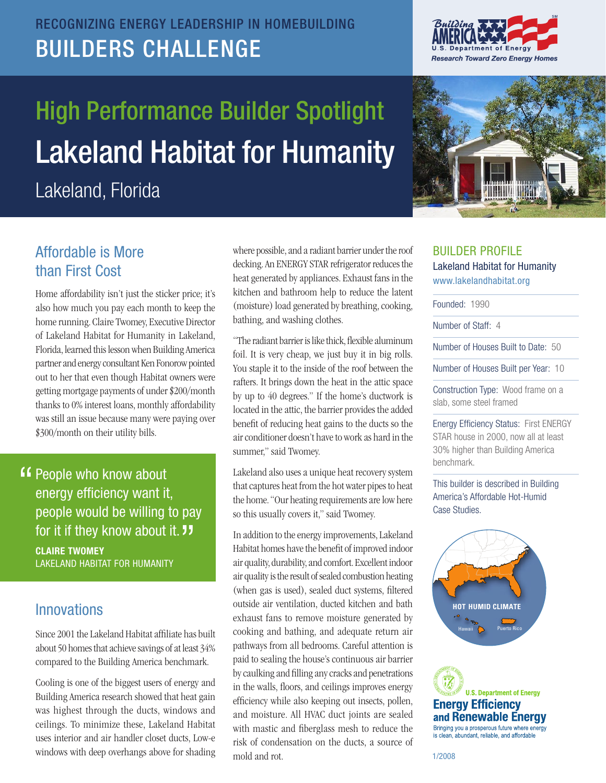## RECOGNIZING ENERGY LEADERSHIP IN HOMEBUILDING BUILDERS CHALLENGE

# Lakeland Habitat for Humanity High Performance Builder Spotlight

Lakeland, Florida





### Affordable is More than First Cost

 home running. Claire Twomey, Executive Director of Lakeland Habitat for Humanity in Lakeland, Florida, learned this lesson when Building America partner and energy consultant Ken Fonorow pointed getting mortgage payments of under \$200/month Home affordability isn't just the sticker price; it's also how much you pay each month to keep the out to her that even though Habitat owners were thanks to 0% interest loans, monthly affordability was still an issue because many were paying over \$300/month on their utility bills.

 Claire Twomey LAkELAnD HABItAt FOR HUMAnIty **"** People who know about energy efficiency want it, people would be willing to pay for it if they know about it. "<br>CLAIRE TWOMEY

#### Innovations

 Since 2001 the Lakeland Habitat affiliate has built about 50 homes that achieve savings of at least 34% compared to the Building America benchmark.

 was highest through the ducts, windows and ceilings. To minimize these, Lakeland Habitat Cooling is one of the biggest users of energy and Building America research showed that heat gain uses interior and air handler closet ducts, Low-e windows with deep overhangs above for shading

 where possible, and a radiant barrier under the roof decking. An ENERGY STAR refrigerator reduces the (moisture) load generated by breathing, cooking, heat generated by appliances. Exhaust fans in the kitchen and bathroom help to reduce the latent bathing, and washing clothes.

 "The radiant barrier is like thick, flexible aluminum foil. It is very cheap, we just buy it in big rolls. by up to 40 degrees." If the home's ductwork is air conditioner doesn't have to work as hard in the You staple it to the inside of the roof between the rafters. It brings down the heat in the attic space located in the attic, the barrier provides the added benefit of reducing heat gains to the ducts so the summer," said Twomey.

 that captures heat from the hot water pipes to heat the home. "Our heating requirements are low here Lakeland also uses a unique heat recovery system so this usually covers it," said Twomey.

 In addition to the energy improvements, Lakeland Habitat homes have the benefit of improved indoor air quality, durability, and comfort. Excellent indoor air quality is the result of sealed combustion heating exhaust fans to remove moisture generated by cooking and bathing, and adequate return air by caulking and filling any cracks and penetrations in the walls, floors, and ceilings improves energy efficiency while also keeping out insects, pollen, and moisture. All HVAC duct joints are sealed with mastic and fiberglass mesh to reduce the risk of condensation on the ducts, a source of paid to sealing the house's continuous air barrier mold and rot. (when gas is used), sealed duct systems, filtered outside air ventilation, ducted kitchen and bath pathways from all bedrooms. Careful attention is

#### BUILDER PROFILE Lakeland Habitat for Humanity www.lakelandhabitat.org

Founded: 1990

Number of Staff: 4

Number of Houses Built to Date: 50

Number of Houses Built per Year: 10

 Construction Type: Wood frame on a slab, some steel framed

 Energy Efficiency Status: First ENERGY STAR house in 2000, now all at least 30% higher than Building America benchmark.

 This builder is described in Building America's Affordable Hot-Humid Case Studies.